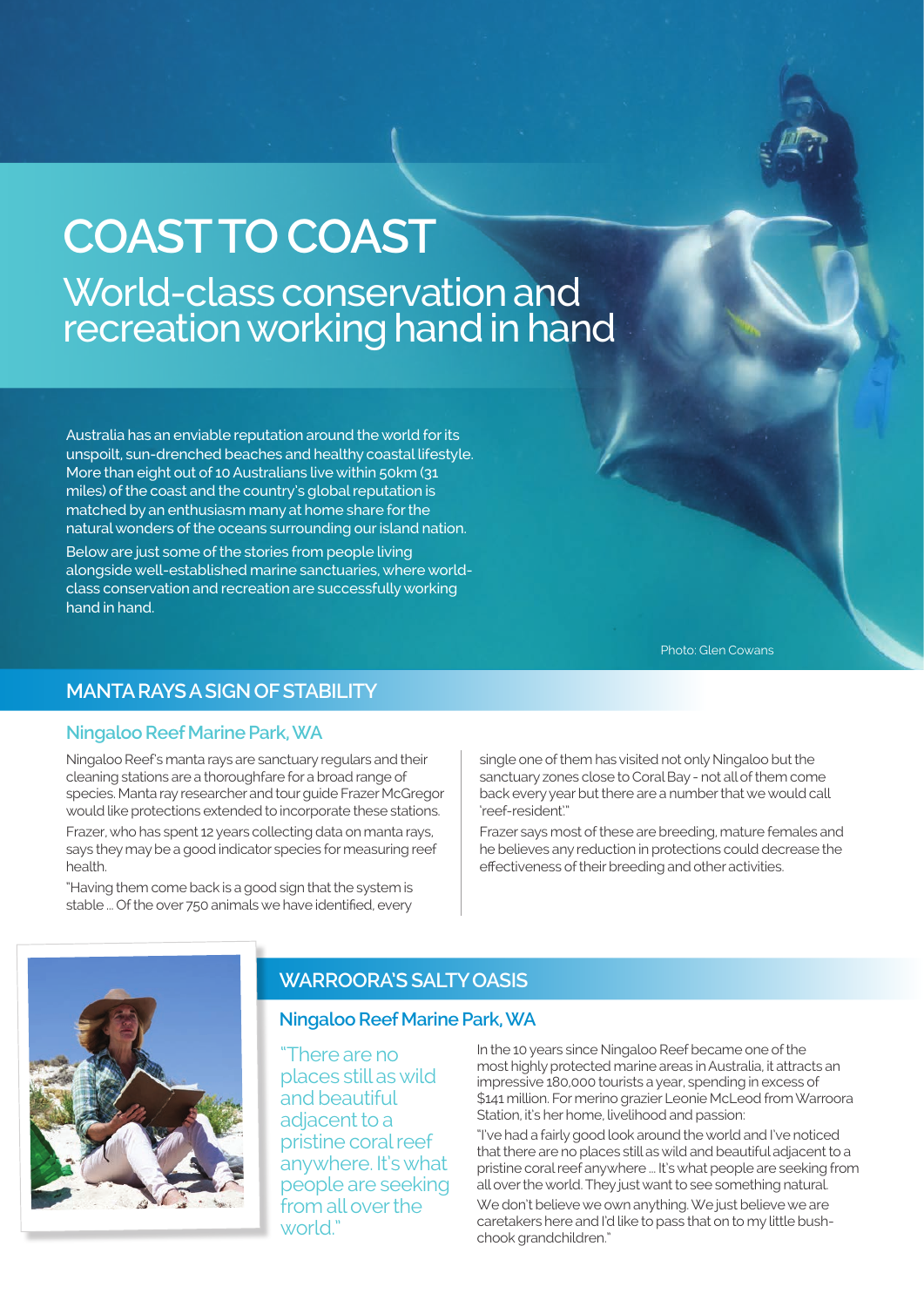# **COAST TO COAST** World-class conservation and recreation working hand in hand

Australia has an enviable reputation around the world for its unspoilt, sun-drenched beaches and healthy coastal lifestyle. More than eight out of 10 Australians live within 50km (31 miles) of the coast and the country's global reputation is matched by an enthusiasm many at home share for the natural wonders of the oceans surrounding our island nation.

Below are just some of the stories from people living alongside well-established marine sanctuaries, where worldclass conservation and recreation are successfully working hand in hand.

Photo: Glen Cowans

## **MANTA RAYS A SIGN OF STABILITY**

#### **Ningaloo Reef Marine Park, WA**

Ningaloo Reef's manta rays are sanctuary regulars and their cleaning stations are a thoroughfare for a broad range of species. Manta ray researcher and tour guide Frazer McGregor would like protections extended to incorporate these stations.

Frazer, who has spent 12 years collecting data on manta rays, says they may be a good indicator species for measuring reef health.

"Having them come back is a good sign that the system is stable ... Of the over 750 animals we have identified, every

single one of them has visited not only Ningaloo but the sanctuary zones close to Coral Bay - not all of them come back every year but there are a number that we would call 'reef-resident'."

Frazer says most of these are breeding, mature females and he believes any reduction in protections could decrease the effectiveness of their breeding and other activities.



# **WARROORA'S SALTY OASIS**

#### **Ningaloo Reef Marine Park, WA**

"There are no places still as wild and beautiful adjacent to a pristine coral reef anywhere. It's what people are seeking from all over the world."

In the 10 years since Ningaloo Reef became one of the most highly protected marine areas in Australia, it attracts an impressive 180,000 tourists a year, spending in excess of \$141 million. For merino grazier Leonie McLeod from Warroora Station, it's her home, livelihood and passion:

"I've had a fairly good look around the world and I've noticed that there are no places still as wild and beautiful adjacent to a pristine coral reef anywhere ... It's what people are seeking from all over the world. They just want to see something natural.

We don't believe we own anything. We just believe we are caretakers here and I'd like to pass that on to my little bushchook grandchildren."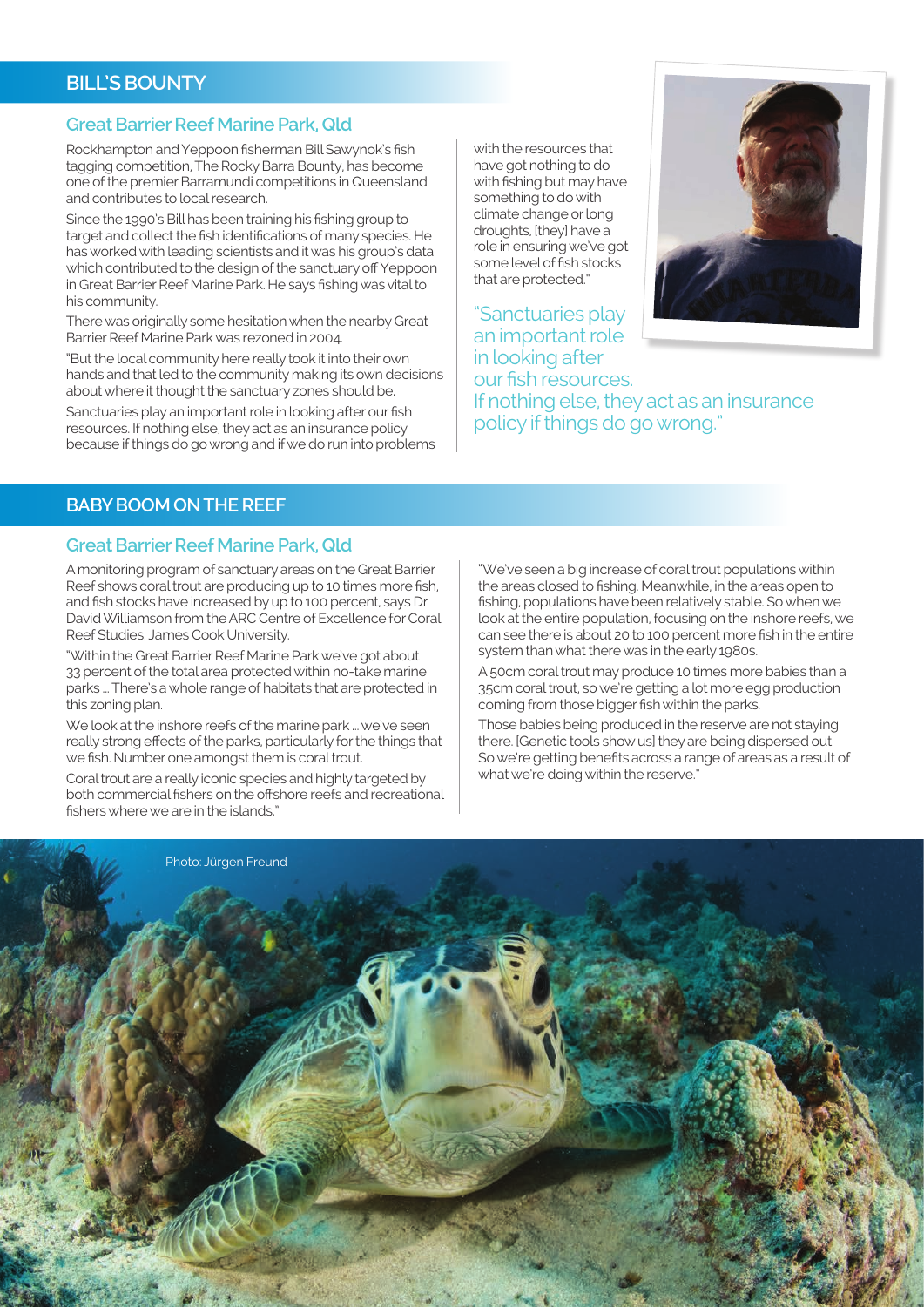# **BILL'S BOUNTY**

#### **Great Barrier Reef Marine Park, Qld**

Rockhampton and Yeppoon fisherman Bill Sawynok's fish tagging competition, The Rocky Barra Bounty, has become one of the premier Barramundi competitions in Queensland and contributes to local research.

Since the 1990's Bill has been training his fishing group to target and collect the fish identifications of many species. He has worked with leading scientists and it was his group's data which contributed to the design of the sanctuary off Yeppoon in Great Barrier Reef Marine Park. He says fishing was vital to his community.

There was originally some hesitation when the nearby Great Barrier Reef Marine Park was rezoned in 2004.

"But the local community here really took it into their own hands and that led to the community making its own decisions about where it thought the sanctuary zones should be.

Sanctuaries play an important role in looking after our fish resources. If nothing else, they act as an insurance policy because if things do go wrong and if we do run into problems with the resources that have got nothing to do with fishing but may have something to do with climate change or long droughts, [they] have a role in ensuring we've got some level of fish stocks that are protected."



"Sanctuaries play an important role in looking after our fish resources. If nothing else, they act as an insurance policy if things do go wrong."

#### **BABY BOOM ON THE REEF**

#### **Great Barrier Reef Marine Park, Qld**

A monitoring program of sanctuary areas on the Great Barrier Reef shows coral trout are producing up to 10 times more fish, and fish stocks have increased by up to 100 percent, says Dr David Williamson from the ARC Centre of Excellence for Coral Reef Studies, James Cook University.

"Within the Great Barrier Reef Marine Park we've got about 33 percent of the total area protected within no-take marine parks ... There's a whole range of habitats that are protected in this zoning plan.

We look at the inshore reefs of the marine park ... we've seen really strong effects of the parks, particularly for the things that we fish. Number one amongst them is coral trout.

Coral trout are a really iconic species and highly targeted by both commercial fishers on the offshore reefs and recreational fishers where we are in the islands."

"We've seen a big increase of coral trout populations within the areas closed to fishing. Meanwhile, in the areas open to fishing, populations have been relatively stable. So when we look at the entire population, focusing on the inshore reefs, we can see there is about 20 to 100 percent more fish in the entire system than what there was in the early 1980s.

A 50cm coral trout may produce 10 times more babies than a 35cm coral trout, so we're getting a lot more egg production coming from those bigger fish within the parks.

Those babies being produced in the reserve are not staying there. [Genetic tools show us] they are being dispersed out. So we're getting benefits across a range of areas as a result of what we're doing within the reserve."

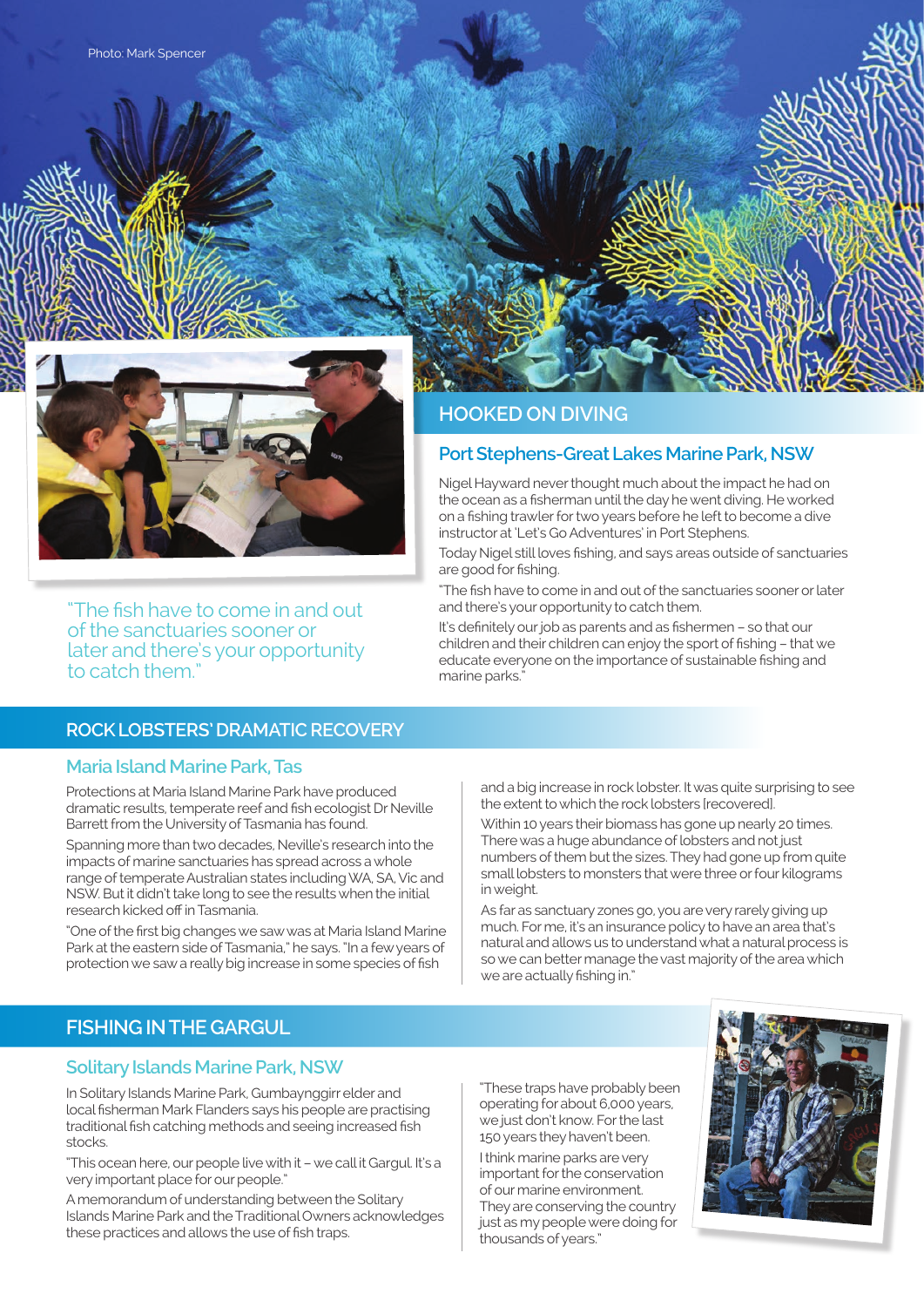

"The fish have to come in and out of the sanctuaries sooner or later and there's your opportunity to catch them."

## **ROCK LOBSTERS' DRAMATIC RECOVERY**

#### **Maria Island Marine Park, Tas**

Protections at Maria Island Marine Park have produced dramatic results, temperate reef and fish ecologist Dr Neville Barrett from the University of Tasmania has found.

Spanning more than two decades, Neville's research into the impacts of marine sanctuaries has spread across a whole range of temperate Australian states including WA, SA, Vic and NSW. But it didn't take long to see the results when the initial research kicked off in Tasmania.

"One of the first big changes we saw was at Maria Island Marine Park at the eastern side of Tasmania," he says. "In a few years of protection we saw a really big increase in some species of fish

and a big increase in rock lobster. It was quite surprising to see the extent to which the rock lobsters [recovered].

Within 10 years their biomass has gone up nearly 20 times. There was a huge abundance of lobsters and not just numbers of them but the sizes. They had gone up from quite small lobsters to monsters that were three or four kilograms in weight.

As far as sanctuary zones go, you are very rarely giving up much. For me, it's an insurance policy to have an area that's natural and allows us to understand what a natural process is so we can better manage the vast majority of the area which we are actually fishing in."

# **FISHING IN THE GARGUL**

#### **Solitary Islands Marine Park, NSW**

In Solitary Islands Marine Park, Gumbaynggirr elder and local fisherman Mark Flanders says his people are practising traditional fish catching methods and seeing increased fish stocks.

"This ocean here, our people live with it – we call it Gargul. It's a very important place for our people."

A memorandum of understanding between the Solitary Islands Marine Park and the Traditional Owners acknowledges these practices and allows the use of fish traps.

"These traps have probably been operating for about 6,000 years, we just don't know. For the last 150 years they haven't been.

I think marine parks are very important for the conservation of our marine environment. They are conserving the country just as my people were doing for thousands of years."



# **HOOKED ON DIVING**

# **Port Stephens-Great Lakes Marine Park, NSW**

Nigel Hayward never thought much about the impact he had on the ocean as a fisherman until the day he went diving. He worked on a fishing trawler for two years before he left to become a dive instructor at 'Let's Go Adventures' in Port Stephens.

Today Nigel still loves fishing, and says areas outside of sanctuaries are good for fishing.

"The fish have to come in and out of the sanctuaries sooner or later and there's your opportunity to catch them.

It's definitely our job as parents and as fishermen – so that our children and their children can enjoy the sport of fishing – that we educate everyone on the importance of sustainable fishing and marine parks."